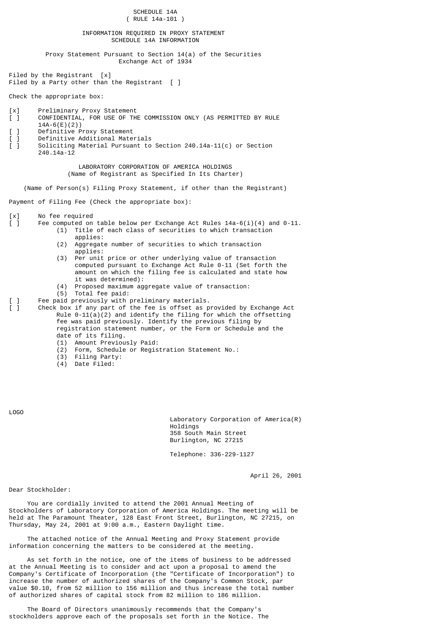SCHEDULE 14A ( RULE 14a-101 ) INFORMATION REQUIRED IN PROXY STATEMENT SCHEDULE 14A INFORMATION Proxy Statement Pursuant to Section 14(a) of the Securities Exchange Act of 1934 Filed by the Registrant [x] Filed by a Party other than the Registrant  $\lceil \; \rceil$ Check the appropriate box: [x] Preliminary Proxy Statement  $\overline{[}$   $\overline{]}$  CONFIDENTIAL, FOR USE OF THE COMMISSION ONLY (AS PERMITTED BY RULE 14A-6(E)(2)) 1 Definitive Proxy Statement [ ] Definitive Additional Materials [ ] Soliciting Material Pursuant to Section 240.14a-11(c) or Section 240.14a-12 LABORATORY CORPORATION OF AMERICA HOLDINGS (Name of Registrant as Specified In Its Charter) (Name of Person(s) Filing Proxy Statement, if other than the Registrant) Payment of Filing Fee (Check the appropriate box): [x] No fee required<br>[ ] Fee computed on Fee computed on table below per Exchange Act Rules  $14a-6(i)(4)$  and  $0-11$ . (1) Title of each class of securities to which transaction applies: (2) Aggregate number of securities to which transaction applies: (3) Per unit price or other underlying value of transaction computed pursuant to Exchange Act Rule 0-11 (Set forth the amount on which the filing fee is calculated and state how it was determined): (4) Proposed maximum aggregate value of transaction: (5) Total fee paid: [ ] Fee paid previously with preliminary materials. [ ] Check box if any part of the fee is offset as provided by Exchange Act Rule  $0-11(a)(2)$  and identify the filing for which the offsetting fee was paid previously. Identify the previous filing by registration statement number, or the Form or Schedule and the date of its filing. (1) Amount Previously Paid: (2) Form, Schedule or Registration Statement No.: (3) Filing Party:

(4) Date Filed:

LOGO

 Laboratory Corporation of America(R) Holdings 358 South Main Street Burlington, NC 27215

Telephone: 336-229-1127

April 26, 2001

Dear Stockholder:

 You are cordially invited to attend the 2001 Annual Meeting of Stockholders of Laboratory Corporation of America Holdings. The meeting will be held at The Paramount Theater, 128 East Front Street, Burlington, NC 27215, on Thursday, May 24, 2001 at 9:00 a.m., Eastern Daylight time.

 The attached notice of the Annual Meeting and Proxy Statement provide information concerning the matters to be considered at the meeting.

 As set forth in the notice, one of the items of business to be addressed at the Annual Meeting is to consider and act upon a proposal to amend the Company's Certificate of Incorporation (the "Certificate of Incorporation") to increase the number of authorized shares of the Company's Common Stock, par value \$0.10, from 52 million to 156 million and thus increase the total number of authorized shares of capital stock from 82 million to 186 million.

 The Board of Directors unanimously recommends that the Company's stockholders approve each of the proposals set forth in the Notice. The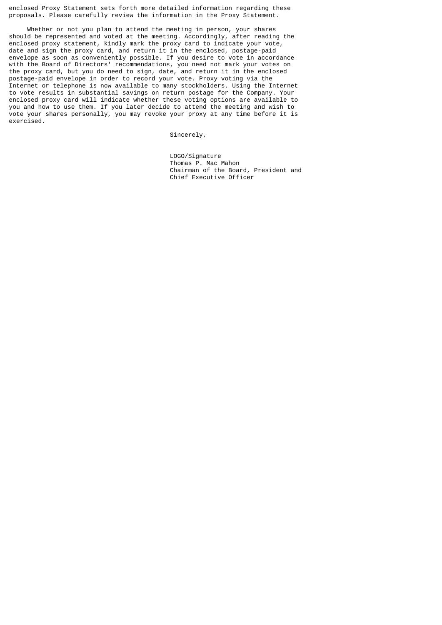enclosed Proxy Statement sets forth more detailed information regarding these proposals. Please carefully review the information in the Proxy Statement.

 Whether or not you plan to attend the meeting in person, your shares should be represented and voted at the meeting. Accordingly, after reading the enclosed proxy statement, kindly mark the proxy card to indicate your vote, date and sign the proxy card, and return it in the enclosed, postage-paid envelope as soon as conveniently possible. If you desire to vote in accordance with the Board of Directors' recommendations, you need not mark your votes on the proxy card, but you do need to sign, date, and return it in the enclosed postage-paid envelope in order to record your vote. Proxy voting via the Internet or telephone is now available to many stockholders. Using the Internet to vote results in substantial savings on return postage for the Company. Your enclosed proxy card will indicate whether these voting options are available to you and how to use them. If you later decide to attend the meeting and wish to vote your shares personally, you may revoke your proxy at any time before it is exercised.

Sincerely,

 LOGO/Signature Thomas P. Mac Mahon Chairman of the Board, President and Chief Executive Officer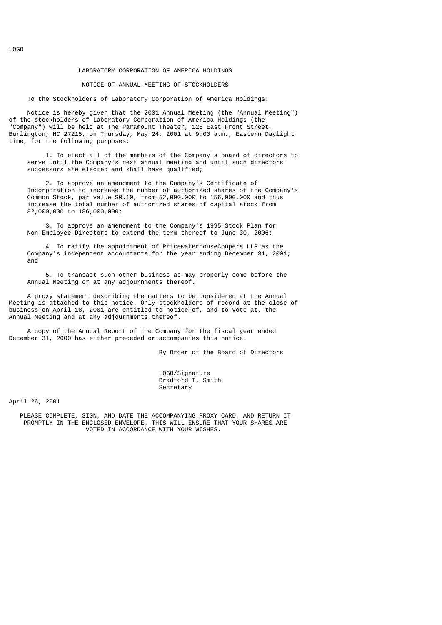## LABORATORY CORPORATION OF AMERICA HOLDINGS

### NOTICE OF ANNUAL MEETING OF STOCKHOLDERS

To the Stockholders of Laboratory Corporation of America Holdings:

 Notice is hereby given that the 2001 Annual Meeting (the "Annual Meeting") of the stockholders of Laboratory Corporation of America Holdings (the "Company") will be held at The Paramount Theater, 128 East Front Street, Burlington, NC 27215, on Thursday, May 24, 2001 at 9:00 a.m., Eastern Daylight time, for the following purposes:

 1. To elect all of the members of the Company's board of directors to serve until the Company's next annual meeting and until such directors' successors are elected and shall have qualified;

 2. To approve an amendment to the Company's Certificate of Incorporation to increase the number of authorized shares of the Company's Common Stock, par value \$0.10, from 52,000,000 to 156,000,000 and thus increase the total number of authorized shares of capital stock from 82,000,000 to 186,000,000;

 3. To approve an amendment to the Company's 1995 Stock Plan for Non-Employee Directors to extend the term thereof to June 30, 2006;

 4. To ratify the appointment of PricewaterhouseCoopers LLP as the Company's independent accountants for the year ending December 31, 2001; and

 5. To transact such other business as may properly come before the Annual Meeting or at any adjournments thereof.

 A proxy statement describing the matters to be considered at the Annual Meeting is attached to this notice. Only stockholders of record at the close of business on April 18, 2001 are entitled to notice of, and to vote at, the Annual Meeting and at any adjournments thereof.

 A copy of the Annual Report of the Company for the fiscal year ended December 31, 2000 has either preceded or accompanies this notice.

By Order of the Board of Directors

LOGO/Signature Bradford T. Smith Secretary

April 26, 2001

 PLEASE COMPLETE, SIGN, AND DATE THE ACCOMPANYING PROXY CARD, AND RETURN IT PROMPTLY IN THE ENCLOSED ENVELOPE. THIS WILL ENSURE THAT YOUR SHARES ARE VOTED IN ACCORDANCE WITH YOUR WISHES.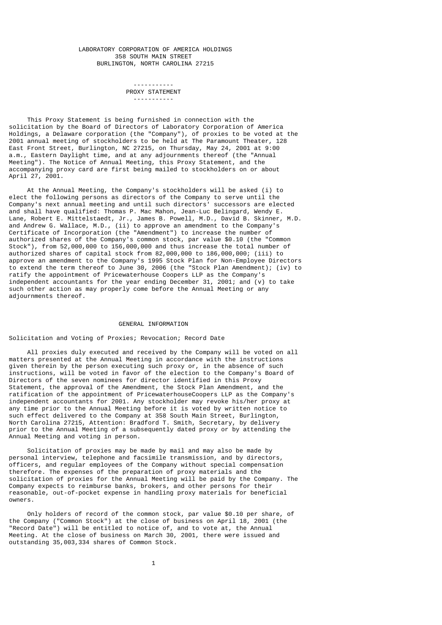### LABORATORY CORPORATION OF AMERICA HOLDINGS 358 SOUTH MAIN STREET BURLINGTON, NORTH CAROLINA 27215

#### ----------- PROXY STATEMENT -----------

 This Proxy Statement is being furnished in connection with the solicitation by the Board of Directors of Laboratory Corporation of America Holdings, a Delaware corporation (the "Company"), of proxies to be voted at the 2001 annual meeting of stockholders to be held at The Paramount Theater, 128 East Front Street, Burlington, NC 27215, on Thursday, May 24, 2001 at 9:00 a.m., Eastern Daylight time, and at any adjournments thereof (the "Annual Meeting"). The Notice of Annual Meeting, this Proxy Statement, and the accompanying proxy card are first being mailed to stockholders on or about April 27, 2001.

 At the Annual Meeting, the Company's stockholders will be asked (i) to elect the following persons as directors of the Company to serve until the Company's next annual meeting and until such directors' successors are elected and shall have qualified: Thomas P. Mac Mahon, Jean-Luc Belingard, Wendy E. Lane, Robert E. Mittelstaedt, Jr., James B. Powell, M.D., David B. Skinner, M.D. and Andrew G. Wallace, M.D., (ii) to approve an amendment to the Company's Certificate of Incorporation (the "Amendment") to increase the number of authorized shares of the Company's common stock, par value \$0.10 (the "Common Stock"), from 52,000,000 to 156,000,000 and thus increase the total number of authorized shares of capital stock from 82,000,000 to 186,000,000; (iii) to approve an amendment to the Company's 1995 Stock Plan for Non-Employee Directors to extend the term thereof to June 30, 2006 (the "Stock Plan Amendment); (iv) to ratify the appointment of Pricewaterhouse Coopers LLP as the Company's independent accountants for the year ending December 31, 2001; and (v) to take such other action as may properly come before the Annual Meeting or any adjournments thereof.

## GENERAL INFORMATION

# Solicitation and Voting of Proxies; Revocation; Record Date

 All proxies duly executed and received by the Company will be voted on all matters presented at the Annual Meeting in accordance with the instructions given therein by the person executing such proxy or, in the absence of such instructions, will be voted in favor of the election to the Company's Board of Directors of the seven nominees for director identified in this Proxy Statement, the approval of the Amendment, the Stock Plan Amendment, and the ratification of the appointment of PricewaterhouseCoopers LLP as the Company's independent accountants for 2001. Any stockholder may revoke his/her proxy at any time prior to the Annual Meeting before it is voted by written notice to such effect delivered to the Company at 358 South Main Street, Burlington, North Carolina 27215, Attention: Bradford T. Smith, Secretary, by delivery prior to the Annual Meeting of a subsequently dated proxy or by attending the Annual Meeting and voting in person.

 Solicitation of proxies may be made by mail and may also be made by personal interview, telephone and facsimile transmission, and by directors, officers, and regular employees of the Company without special compensation therefore. The expenses of the preparation of proxy materials and the solicitation of proxies for the Annual Meeting will be paid by the Company. The Company expects to reimburse banks, brokers, and other persons for their reasonable, out-of-pocket expense in handling proxy materials for beneficial owners.

 Only holders of record of the common stock, par value \$0.10 per share, of the Company ("Common Stock") at the close of business on April 18, 2001 (the "Record Date") will be entitled to notice of, and to vote at, the Annual Meeting. At the close of business on March 30, 2001, there were issued and outstanding 35,003,334 shares of Common Stock.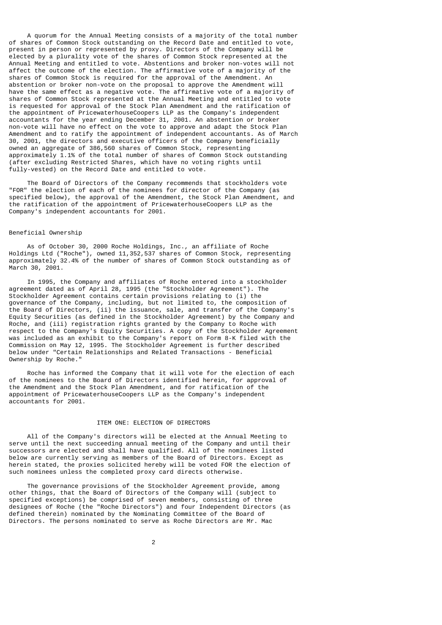A quorum for the Annual Meeting consists of a majority of the total number of shares of Common Stock outstanding on the Record Date and entitled to vote, present in person or represented by proxy. Directors of the Company will be elected by a plurality vote of the shares of Common Stock represented at the Annual Meeting and entitled to vote. Abstentions and broker non-votes will not affect the outcome of the election. The affirmative vote of a majority of the shares of Common Stock is required for the approval of the Amendment. An abstention or broker non-vote on the proposal to approve the Amendment will have the same effect as a negative vote. The affirmative vote of a majority of shares of Common Stock represented at the Annual Meeting and entitled to vote is requested for approval of the Stock Plan Amendment and the ratification of the appointment of PricewaterhouseCoopers LLP as the Company's independent accountants for the year ending December 31, 2001. An abstention or broker non-vote will have no effect on the vote to approve and adapt the Stock Plan Amendment and to ratify the appointment of independent accountants. As of March 30, 2001, the directors and executive officers of the Company beneficially owned an aggregate of 386,560 shares of Common Stock, representing approximately 1.1% of the total number of shares of Common Stock outstanding (after excluding Restricted Shares, which have no voting rights until fully-vested) on the Record Date and entitled to vote.

 The Board of Directors of the Company recommends that stockholders vote "FOR" the election of each of the nominees for director of the Company (as specified below), the approval of the Amendment, the Stock Plan Amendment, and the ratification of the appointment of PricewaterhouseCoopers LLP as the Company's independent accountants for 2001.

# Beneficial Ownership

 As of October 30, 2000 Roche Holdings, Inc., an affiliate of Roche Holdings Ltd ("Roche"), owned 11,352,537 shares of Common Stock, representing approximately 32.4% of the number of shares of Common Stock outstanding as of March 30, 2001.

 In 1995, the Company and affiliates of Roche entered into a stockholder agreement dated as of April 28, 1995 (the "Stockholder Agreement"). The Stockholder Agreement contains certain provisions relating to (i) the governance of the Company, including, but not limited to, the composition of the Board of Directors, (ii) the issuance, sale, and transfer of the Company's Equity Securities (as defined in the Stockholder Agreement) by the Company and Roche, and (iii) registration rights granted by the Company to Roche with respect to the Company's Equity Securities. A copy of the Stockholder Agreement was included as an exhibit to the Company's report on Form 8-K filed with the Commission on May 12, 1995. The Stockholder Agreement is further described below under "Certain Relationships and Related Transactions - Beneficial Ownership by Roche."

 Roche has informed the Company that it will vote for the election of each of the nominees to the Board of Directors identified herein, for approval of the Amendment and the Stock Plan Amendment, and for ratification of the appointment of PricewaterhouseCoopers LLP as the Company's independent accountants for 2001.

## ITEM ONE: ELECTION OF DIRECTORS

 All of the Company's directors will be elected at the Annual Meeting to serve until the next succeeding annual meeting of the Company and until their successors are elected and shall have qualified. All of the nominees listed below are currently serving as members of the Board of Directors. Except as herein stated, the proxies solicited hereby will be voted FOR the election of such nominees unless the completed proxy card directs otherwise.

 The governance provisions of the Stockholder Agreement provide, among other things, that the Board of Directors of the Company will (subject to specified exceptions) be comprised of seven members, consisting of three designees of Roche (the "Roche Directors") and four Independent Directors (as defined therein) nominated by the Nominating Committee of the Board of Directors. The persons nominated to serve as Roche Directors are Mr. Mac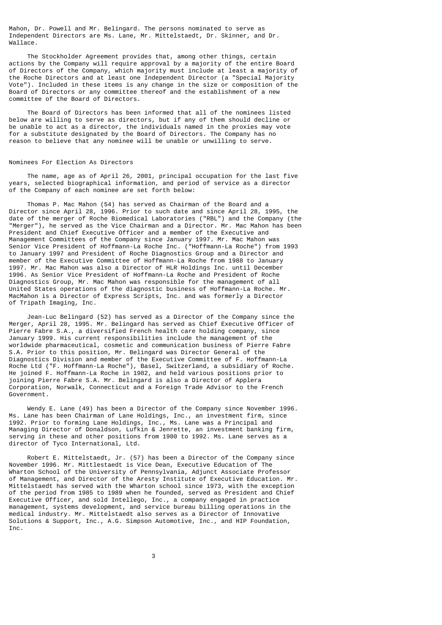Mahon, Dr. Powell and Mr. Belingard. The persons nominated to serve as Independent Directors are Ms. Lane, Mr. Mittelstaedt, Dr. Skinner, and Dr. Wallace.

 The Stockholder Agreement provides that, among other things, certain actions by the Company will require approval by a majority of the entire Board of Directors of the Company, which majority must include at least a majority of the Roche Directors and at least one Independent Director (a "Special Majority Vote"). Included in these items is any change in the size or composition of the Board of Directors or any committee thereof and the establishment of a new committee of the Board of Directors.

 The Board of Directors has been informed that all of the nominees listed below are willing to serve as directors, but if any of them should decline or be unable to act as a director, the individuals named in the proxies may vote for a substitute designated by the Board of Directors. The Company has no reason to believe that any nominee will be unable or unwilling to serve.

#### Nominees For Election As Directors

 The name, age as of April 26, 2001, principal occupation for the last five years, selected biographical information, and period of service as a director of the Company of each nominee are set forth below:

 Thomas P. Mac Mahon (54) has served as Chairman of the Board and a Director since April 28, 1996. Prior to such date and since April 28, 1995, the date of the merger of Roche Biomedical Laboratories ("RBL") and the Company (the "Merger"), he served as the Vice Chairman and a Director. Mr. Mac Mahon has been President and Chief Executive Officer and a member of the Executive and Management Committees of the Company since January 1997. Mr. Mac Mahon was Senior Vice President of Hoffmann-La Roche Inc. ("Hoffmann-La Roche") from 1993 to January 1997 and President of Roche Diagnostics Group and a Director and member of the Executive Committee of Hoffmann-La Roche from 1988 to January 1997. Mr. Mac Mahon was also a Director of HLR Holdings Inc. until December 1996. As Senior Vice President of Hoffmann-La Roche and President of Roche Diagnostics Group, Mr. Mac Mahon was responsible for the management of all United States operations of the diagnostic business of Hoffmann-La Roche. Mr. MacMahon is a Director of Express Scripts, Inc. and was formerly a Director of Tripath Imaging, Inc.

 Jean-Luc Belingard (52) has served as a Director of the Company since the Merger, April 28, 1995. Mr. Belingard has served as Chief Executive Officer of Pierre Fabre S.A., a diversified French health care holding company, since January 1999. His current responsibilities include the management of the worldwide pharmaceutical, cosmetic and communication business of Pierre Fabre S.A. Prior to this position, Mr. Belingard was Director General of the Diagnostics Division and member of the Executive Committee of F. Hoffmann-La Roche Ltd ("F. Hoffmann-La Roche"), Basel, Switzerland, a subsidiary of Roche. He joined F. Hoffmann-La Roche in 1982, and held various positions prior to joining Pierre Fabre S.A. Mr. Belingard is also a Director of Applera Corporation, Norwalk, Connecticut and a Foreign Trade Advisor to the French Government.

 Wendy E. Lane (49) has been a Director of the Company since November 1996. Ms. Lane has been Chairman of Lane Holdings, Inc., an investment firm, since 1992. Prior to forming Lane Holdings, Inc., Ms. Lane was a Principal and Managing Director of Donaldson, Lufkin & Jenrette, an investment banking firm, serving in these and other positions from 1980 to 1992. Ms. Lane serves as a director of Tyco International, Ltd.

 Robert E. Mittelstaedt, Jr. (57) has been a Director of the Company since November 1996. Mr. Mittlestaedt is Vice Dean, Executive Education of The Wharton School of the University of Pennsylvania, Adjunct Associate Professor of Management, and Director of the Aresty Institute of Executive Education. Mr. Mittelstaedt has served with the Wharton school since 1973, with the exception of the period from 1985 to 1989 when he founded, served as President and Chief Executive Officer, and sold Intellego, Inc., a company engaged in practice management, systems development, and service bureau billing operations in the medical industry. Mr. Mittelstaedt also serves as a Director of Innovative Solutions & Support, Inc., A.G. Simpson Automotive, Inc., and HIP Foundation, Inc.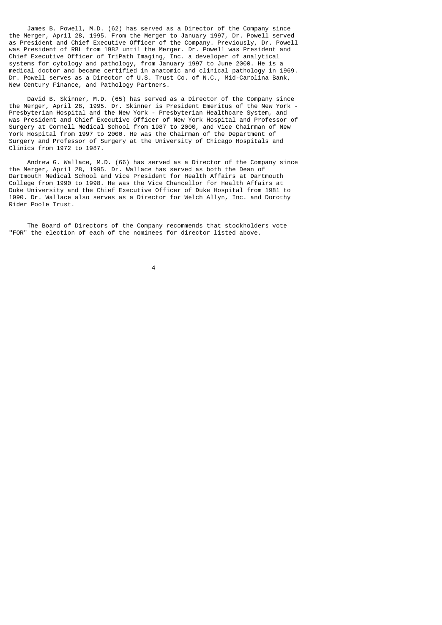James B. Powell, M.D. (62) has served as a Director of the Company since the Merger, April 28, 1995. From the Merger to January 1997, Dr. Powell served as President and Chief Executive Officer of the Company. Previously, Dr. Powell was President of RBL from 1982 until the Merger. Dr. Powell was President and Chief Executive Officer of TriPath Imaging, Inc. a developer of analytical systems for cytology and pathology, from January 1997 to June 2000. He is a medical doctor and became certified in anatomic and clinical pathology in 1969. Dr. Powell serves as a Director of U.S. Trust Co. of N.C., Mid-Carolina Bank, New Century Finance, and Pathology Partners.

 David B. Skinner, M.D. (65) has served as a Director of the Company since the Merger, April 28, 1995. Dr. Skinner is President Emeritus of the New York - Presbyterian Hospital and the New York - Presbyterian Healthcare System, and was President and Chief Executive Officer of New York Hospital and Professor of Surgery at Cornell Medical School from 1987 to 2000, and Vice Chairman of New York Hospital from 1997 to 2000. He was the Chairman of the Department of Surgery and Professor of Surgery at the University of Chicago Hospitals and Clinics from 1972 to 1987.

 Andrew G. Wallace, M.D. (66) has served as a Director of the Company since the Merger, April 28, 1995. Dr. Wallace has served as both the Dean of Dartmouth Medical School and Vice President for Health Affairs at Dartmouth College from 1990 to 1998. He was the Vice Chancellor for Health Affairs at Duke University and the Chief Executive Officer of Duke Hospital from 1981 to 1990. Dr. Wallace also serves as a Director for Welch Allyn, Inc. and Dorothy Rider Poole Trust.

 The Board of Directors of the Company recommends that stockholders vote "FOR" the election of each of the nominees for director listed above.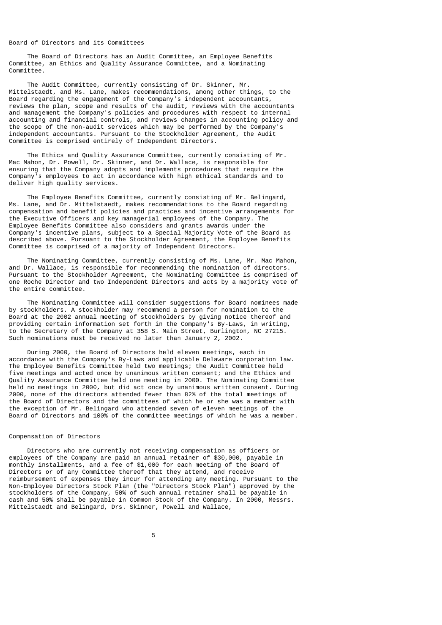#### Board of Directors and its Committees

 The Board of Directors has an Audit Committee, an Employee Benefits Committee, an Ethics and Quality Assurance Committee, and a Nominating Committee.

 The Audit Committee, currently consisting of Dr. Skinner, Mr. Mittelstaedt, and Ms. Lane, makes recommendations, among other things, to the Board regarding the engagement of the Company's independent accountants, reviews the plan, scope and results of the audit, reviews with the accountants and management the Company's policies and procedures with respect to internal accounting and financial controls, and reviews changes in accounting policy and the scope of the non-audit services which may be performed by the Company's independent accountants. Pursuant to the Stockholder Agreement, the Audit Committee is comprised entirely of Independent Directors.

 The Ethics and Quality Assurance Committee, currently consisting of Mr. Mac Mahon, Dr. Powell, Dr. Skinner, and Dr. Wallace, is responsible for ensuring that the Company adopts and implements procedures that require the Company's employees to act in accordance with high ethical standards and to deliver high quality services.

 The Employee Benefits Committee, currently consisting of Mr. Belingard, Ms. Lane, and Dr. Mittelstaedt, makes recommendations to the Board regarding compensation and benefit policies and practices and incentive arrangements for the Executive Officers and key managerial employees of the Company. The Employee Benefits Committee also considers and grants awards under the Company's incentive plans, subject to a Special Majority Vote of the Board as described above. Pursuant to the Stockholder Agreement, the Employee Benefits Committee is comprised of a majority of Independent Directors.

 The Nominating Committee, currently consisting of Ms. Lane, Mr. Mac Mahon, and Dr. Wallace, is responsible for recommending the nomination of directors. Pursuant to the Stockholder Agreement, the Nominating Committee is comprised of one Roche Director and two Independent Directors and acts by a majority vote of the entire committee.

 The Nominating Committee will consider suggestions for Board nominees made by stockholders. A stockholder may recommend a person for nomination to the Board at the 2002 annual meeting of stockholders by giving notice thereof and providing certain information set forth in the Company's By-Laws, in writing, to the Secretary of the Company at 358 S. Main Street, Burlington, NC 27215. Such nominations must be received no later than January 2, 2002.

 During 2000, the Board of Directors held eleven meetings, each in accordance with the Company's By-Laws and applicable Delaware corporation law. The Employee Benefits Committee held two meetings; the Audit Committee held five meetings and acted once by unanimous written consent; and the Ethics and Quality Assurance Committee held one meeting in 2000. The Nominating Committee held no meetings in 2000, but did act once by unanimous written consent. During 2000, none of the directors attended fewer than 82% of the total meetings of the Board of Directors and the committees of which he or she was a member with the exception of Mr. Belingard who attended seven of eleven meetings of the Board of Directors and 100% of the committee meetings of which he was a member.

## Compensation of Directors

 Directors who are currently not receiving compensation as officers or employees of the Company are paid an annual retainer of \$30,000, payable in monthly installments, and a fee of \$1,000 for each meeting of the Board of Directors or of any Committee thereof that they attend, and receive reimbursement of expenses they incur for attending any meeting. Pursuant to the Non-Employee Directors Stock Plan (the "Directors Stock Plan") approved by the stockholders of the Company, 50% of such annual retainer shall be payable in cash and 50% shall be payable in Common Stock of the Company. In 2000, Messrs. Mittelstaedt and Belingard, Drs. Skinner, Powell and Wallace,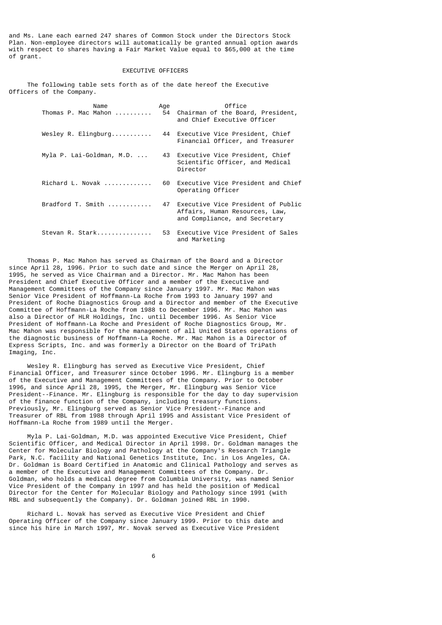and Ms. Lane each earned 247 shares of Common Stock under the Directors Stock Plan. Non-employee directors will automatically be granted annual option awards with respect to shares having a Fair Market Value equal to \$65,000 at the time of grant.

## EXECUTIVE OFFICERS

 The following table sets forth as of the date hereof the Executive Officers of the Company.

| Name<br>Thomas P. Mac Mahon                | Age<br>54 | Office<br>Chairman of the Board, President,<br>and Chief Executive Officer                               |
|--------------------------------------------|-----------|----------------------------------------------------------------------------------------------------------|
| Wesley R. Elingburg                        |           | 44 Executive Vice President, Chief<br>Financial Officer, and Treasurer                                   |
| Myla P. Lai-Goldman, M.D.                  |           | 43 Executive Vice President, Chief<br>Scientific Officer, and Medical<br>Director                        |
| Richard L. Novak                           | 60.       | Executive Vice President and Chief<br>Operating Officer                                                  |
| $Bradford$ T. Smith $\ldots \ldots \ldots$ |           | 47 Executive Vice President of Public<br>Affairs, Human Resources, Law,<br>and Compliance, and Secretary |
| Stevan R. Stark                            |           | 53 Executive Vice President of Sales<br>and Marketing                                                    |

 Thomas P. Mac Mahon has served as Chairman of the Board and a Director since April 28, 1996. Prior to such date and since the Merger on April 28, 1995, he served as Vice Chairman and a Director. Mr. Mac Mahon has been President and Chief Executive Officer and a member of the Executive and Management Committees of the Company since January 1997. Mr. Mac Mahon was Senior Vice President of Hoffmann-La Roche from 1993 to January 1997 and President of Roche Diagnostics Group and a Director and member of the Executive Committee of Hoffmann-La Roche from 1988 to December 1996. Mr. Mac Mahon was also a Director of HLR Holdings, Inc. until December 1996. As Senior Vice President of Hoffmann-La Roche and President of Roche Diagnostics Group, Mr. Mac Mahon was responsible for the management of all United States operations of the diagnostic business of Hoffmann-La Roche. Mr. Mac Mahon is a Director of Express Scripts, Inc. and was formerly a Director on the Board of TriPath Imaging, Inc.

 Wesley R. Elingburg has served as Executive Vice President, Chief Financial Officer, and Treasurer since October 1996. Mr. Elingburg is a member of the Executive and Management Committees of the Company. Prior to October 1996, and since April 28, 1995, the Merger, Mr. Elingburg was Senior Vice President--Finance. Mr. Elingburg is responsible for the day to day supervision of the finance function of the Company, including treasury functions. Previously, Mr. Elingburg served as Senior Vice President--Finance and Treasurer of RBL from 1988 through April 1995 and Assistant Vice President of Hoffmann-La Roche from 1989 until the Merger.

 Myla P. Lai-Goldman, M.D. was appointed Executive Vice President, Chief Scientific Officer, and Medical Director in April 1998. Dr. Goldman manages the Center for Molecular Biology and Pathology at the Company's Research Triangle Park, N.C. facility and National Genetics Institute, Inc. in Los Angeles, CA. Dr. Goldman is Board Certified in Anatomic and Clinical Pathology and serves as a member of the Executive and Management Committees of the Company. Dr. Goldman, who holds a medical degree from Columbia University, was named Senior Vice President of the Company in 1997 and has held the position of Medical Director for the Center for Molecular Biology and Pathology since 1991 (with RBL and subsequently the Company). Dr. Goldman joined RBL in 1990.

 Richard L. Novak has served as Executive Vice President and Chief Operating Officer of the Company since January 1999. Prior to this date and since his hire in March 1997, Mr. Novak served as Executive Vice President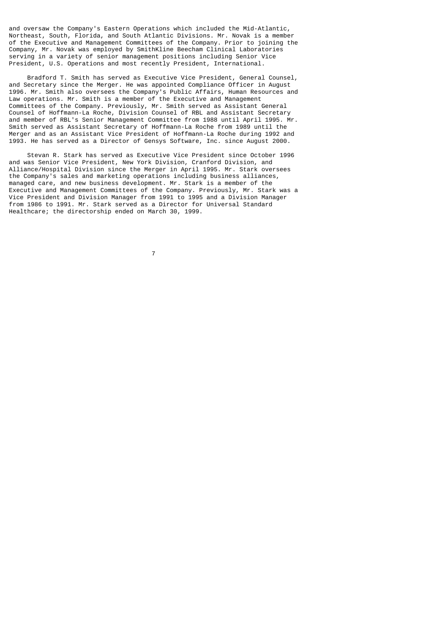and oversaw the Company's Eastern Operations which included the Mid-Atlantic, Northeast, South, Florida, and South Atlantic Divisions. Mr. Novak is a member of the Executive and Management Committees of the Company. Prior to joining the Company, Mr. Novak was employed by SmithKline Beecham Clinical Laboratories serving in a variety of senior management positions including Senior Vice President, U.S. Operations and most recently President, International.

 Bradford T. Smith has served as Executive Vice President, General Counsel, and Secretary since the Merger. He was appointed Compliance Officer in August 1996. Mr. Smith also oversees the Company's Public Affairs, Human Resources and Law operations. Mr. Smith is a member of the Executive and Management Committees of the Company. Previously, Mr. Smith served as Assistant General Counsel of Hoffmann-La Roche, Division Counsel of RBL and Assistant Secretary and member of RBL's Senior Management Committee from 1988 until April 1995. Mr. Smith served as Assistant Secretary of Hoffmann-La Roche from 1989 until the Merger and as an Assistant Vice President of Hoffmann-La Roche during 1992 and 1993. He has served as a Director of Gensys Software, Inc. since August 2000.

 Stevan R. Stark has served as Executive Vice President since October 1996 and was Senior Vice President, New York Division, Cranford Division, and Alliance/Hospital Division since the Merger in April 1995. Mr. Stark oversees the Company's sales and marketing operations including business alliances, managed care, and new business development. Mr. Stark is a member of the Executive and Management Committees of the Company. Previously, Mr. Stark was a Vice President and Division Manager from 1991 to 1995 and a Division Manager from 1986 to 1991. Mr. Stark served as a Director for Universal Standard Healthcare; the directorship ended on March 30, 1999.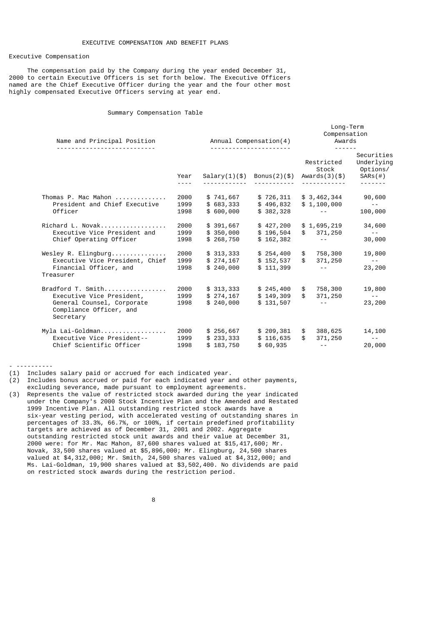## Executive Compensation

 The compensation paid by the Company during the year ended December 31, 2000 to certain Executive Officers is set forth below. The Executive Officers named are the Chief Executive Officer during the year and the four other most highly compensated Executive Officers serving at year end.

## Summary Compensation Table

| Name and Principal Position                                                                     |                      | Annual Compensation(4)              | Long-Term<br>Compensation<br>Awards<br>$\frac{1}{2}$ |                                                                                         |                                                               |
|-------------------------------------------------------------------------------------------------|----------------------|-------------------------------------|------------------------------------------------------|-----------------------------------------------------------------------------------------|---------------------------------------------------------------|
|                                                                                                 | Year<br>$- - - -$    | Salary(1)(\$)                       | Bonus $(2)(\$)$                                      | Restricted<br>Stock<br>Awards(3)(\$)                                                    | Securities<br>Underlying<br>Options/<br>$SARS$ (#)<br>------- |
| Thomas P. Mac Mahon                                                                             | 2000                 | \$741,667                           | \$726,311                                            | \$3,462,344                                                                             | 90,600                                                        |
| President and Chief Executive<br>Officer                                                        | 1999<br>1998         | \$683,333<br>\$600,000              | \$496,832<br>\$382,328                               | \$1,100,000<br>and the second control                                                   | $\sim$ $\sim$ $-$<br>100,000                                  |
| Richard L. Novak<br>Executive Vice President and                                                | 2000<br>1999         | \$391,667<br>\$350,000              | \$427,200<br>\$196,504                               | \$1,695,219<br>\$371,250                                                                | 34,600<br><b>Contract Contract</b>                            |
| Chief Operating Officer                                                                         | 1998                 | \$268,750                           | \$162,382                                            | and the state of the                                                                    | 30,000                                                        |
| Wesley R. Elingburg<br>Executive Vice President, Chief                                          | 2000<br>1999         | \$313,333<br>\$274,167              | \$152,537                                            | $$254,400$ \$ 758,300<br>$\frac{1}{2}$<br>371,250                                       | 19,800<br><b>Contractor</b>                                   |
| Financial Officer, and<br>Treasurer                                                             | 1998                 | \$240,000                           | \$111,399                                            | <b>Contractor</b>                                                                       | 23,200                                                        |
| Bradford T. Smith                                                                               | 2000                 | \$313,333                           | \$245,400                                            | 758,300<br>$\mathfrak s$                                                                | 19,800                                                        |
| Executive Vice President,<br>General Counsel, Corporate<br>Compliance Officer, and<br>Secretary | 1999<br>1998         | \$274,167<br>\$240,000              | \$149,309<br>\$131,507                               | $\mathfrak{S}$<br>371,250<br><b>Contract Contract</b>                                   | <b>Contract Contract</b><br>23,200                            |
| Myla Lai-Goldman<br>Executive Vice President--<br>Chief Scientific Officer                      | 2000<br>1999<br>1998 | \$256,667<br>\$233,333<br>\$183,750 | \$209,381<br>\$116,635<br>\$60,935                   | 388,625<br>\$<br>$\mathbb{S}$<br>371,250<br>$\omega_{\rm{max}}$ and $\omega_{\rm{max}}$ | 14,100<br>$\sim 10^{-10}$<br>20,000                           |
|                                                                                                 |                      |                                     |                                                      |                                                                                         |                                                               |

- ----------

- (1) Includes salary paid or accrued for each indicated year.
- (2) Includes bonus accrued or paid for each indicated year and other payments, excluding severance, made pursuant to employment agreements.
- (3) Represents the value of restricted stock awarded during the year indicated under the Company's 2000 Stock Incentive Plan and the Amended and Restated 1999 Incentive Plan. All outstanding restricted stock awards have a six-year vesting period, with accelerated vesting of outstanding shares in percentages of 33.3%, 66.7%, or 100%, if certain predefined profitability targets are achieved as of December 31, 2001 and 2002. Aggregate outstanding restricted stock unit awards and their value at December 31, 2000 were: for Mr. Mac Mahon, 87,600 shares valued at \$15,417,600; Mr. Novak, 33,500 shares valued at \$5,896,000; Mr. Elingburg, 24,500 shares valued at \$4,312,000; Mr. Smith, 24,500 shares valued at \$4,312,000; and Ms. Lai-Goldman, 19,900 shares valued at \$3,502,400. No dividends are paid on restricted stock awards during the restriction period.

en andere de la provincia de la provincia de la provincia de la provincia de la provincia de la provincia del<br>En 1888, en 1888, en 1888, en 1888, en 1888, en 1888, en 1888, en 1888, en 1888, en 1888, en 1888, en 1888, en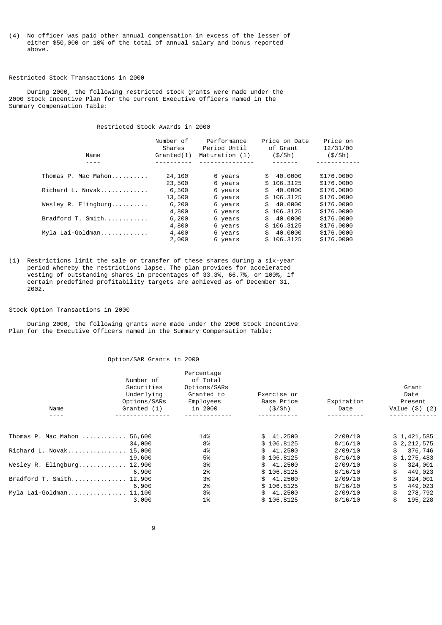(4) No officer was paid other annual compensation in excess of the lesser of either \$50,000 or 10% of the total of annual salary and bonus reported above.

# Restricted Stock Transactions in 2000

 During 2000, the following restricted stock grants were made under the 2000 Stock Incentive Plan for the current Executive Officers named in the Summary Compensation Table:

Restricted Stock Awards in 2000

| Name                               | Number of<br>Shares<br>Grand(1) | Performance<br>Period Until<br>Maturation (1) | Price on Date<br>of Grant<br>(\$/Sh) | Price on<br>12/31/00<br>(\$/Sh) |
|------------------------------------|---------------------------------|-----------------------------------------------|--------------------------------------|---------------------------------|
|                                    |                                 |                                               |                                      |                                 |
| Thomas P. Mac Mahon                | 24,100                          | 6 years                                       | 40.0000<br>\$                        | \$176,0000                      |
|                                    | 23,500                          | 6 years                                       | \$106.3125                           | \$176,0000                      |
| Richard L. Novak                   | 6,500                           | 6 years                                       | 40.0000<br>\$                        | \$176,0000                      |
|                                    | 13,500                          | 6 years                                       | \$106.3125                           | \$176,0000                      |
| Wesley R. Elingburg                | 6,200                           | 6 years                                       | \$40.0000                            | \$176,0000                      |
|                                    | 4,800                           | 6 years                                       | \$106.3125                           | \$176,0000                      |
| $Bradford$ T. $Smith$ , $\ldots$ , | 6,200                           | 6 years                                       | 40.0000<br>\$                        | \$176,0000                      |
|                                    | 4,800                           | 6 years                                       | \$106.3125                           | \$176,0000                      |
| Myla Lai-Goldman                   | 4,400                           | 6 years                                       | 40.0000<br>\$                        | \$176,0000                      |
|                                    | 2,000                           | 6 years                                       | \$106.3125                           | \$176,0000                      |

(1) Restrictions limit the sale or transfer of these shares during a six-year period whereby the restrictions lapse. The plan provides for accelerated vesting of outstanding shares in precentages of 33.3%, 66.7%, or 100%, if certain predefined profitability targets are achieved as of December 31, 2002.

#### Stock Option Transactions in 2000

 During 2000, the following grants were made under the 2000 Stock Incentive Plan for the Executive Officers named in the Summary Compensation Table:

## Option/SAR Grants in 2000

| Name                | Number of<br>Securities<br>Underlying<br>Options/SARs<br>Granted (1) | Percentage<br>of Total<br>Options/SARs<br>Granted to<br>Employees<br>in 2000 | Exercise or<br>Base Price<br>(\$/Sh) | Expiration<br>Date | Grant<br>Date<br>Present<br>Value $(\$)$ $(2)$ |
|---------------------|----------------------------------------------------------------------|------------------------------------------------------------------------------|--------------------------------------|--------------------|------------------------------------------------|
|                     |                                                                      |                                                                              |                                      |                    |                                                |
| Thomas P. Mac Mahon | 56,600                                                               | 14%                                                                          | 41.2500<br>SS.                       | 2/09/10            | \$1,421,585                                    |
|                     | 34,000                                                               | 8%                                                                           | \$106.8125                           | 8/16/10            | \$2,212,575                                    |
| Richard L. Novak    | 15,000                                                               | 4%                                                                           | 41.2500<br>\$                        | 2/09/10            | 376,746<br>\$                                  |
|                     | 19,600                                                               | 5%                                                                           | \$106.8125                           | 8/16/10            | \$1,275,483                                    |
| Wesley R. Elingburg | 12,900                                                               | 3%                                                                           | 41.2500<br>\$                        | 2/09/10            | \$<br>324,001                                  |
|                     | 6,900                                                                | 2%                                                                           | \$106.8125                           | 8/16/10            | 449,023                                        |
| Bradford T. Smith   | 12,900                                                               | 3%                                                                           | 41.2500<br>\$                        | 2/09/10            | 324,001                                        |
|                     | 6,900                                                                | 2%                                                                           | \$106.8125                           | 8/16/10            | 449,023                                        |
| Myla Lai-Goldman    | 11,100                                                               | 3%                                                                           | 41.2500<br>SS.                       | 2/09/10            | \$<br>278,792                                  |
|                     | 3,000                                                                | 1%                                                                           | \$106.8125                           | 8/16/10            | 195,228                                        |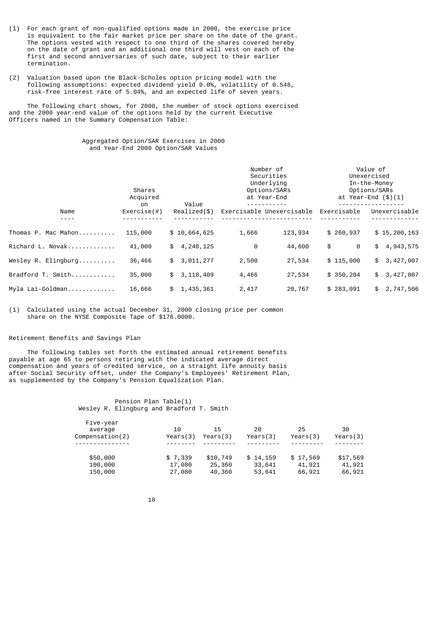- (1) For each grant of non-qualified options made in 2000, the exercise price is equivalent to the fair market price per share on the date of the grant. The options vested with respect to one third of the shares covered hereby on the date of grant and an additional one third will vest on each of the first and second anniversaries of such date, subject to their earlier termination.
- (2) Valuation based upon the Black-Scholes option pricing model with the following assumptions: expected dividend yield 0.0%, volatility of 0.548, risk-free interest rate of 5.04%, and an expected life of seven years.

 The following chart shows, for 2000, the number of stock options exercised and the 2000 year-end value of the options held by the current Executive Officers named in the Summary Compensation Table:

# Aggregated Option/SAR Exercises in 2000 and Year-End 2000 Option/SAR Values

|                     | Shares<br>Acquired  | Value           | Number of<br>Securities<br>Underlying<br>Options/SARs<br>at Year-End |                      | Value of<br>Unexercised<br>In-the-Money<br>Options/SARs<br>at Year-End $(\$)(1)$ |  |
|---------------------|---------------------|-----------------|----------------------------------------------------------------------|----------------------|----------------------------------------------------------------------------------|--|
| Name                | on<br>Exercise ( #) | Realized (\$)   | Exercisable Unexercisable                                            | Exercisable          | Unexercisable                                                                    |  |
| Thomas P. Mac Mahon | 115,000             | \$10,664,625    | 1,666                                                                | \$260,937<br>123,934 | \$15,200,163                                                                     |  |
| Richard L. Novak    | 41,000              | 4,240,125<br>\$ | 0                                                                    | 44,600<br>\$         | 0<br>4,943,575<br>\$                                                             |  |
| Wesley R. Elinaburg | 36,466              | 3,011,277<br>\$ | 2,500                                                                | \$115,000<br>27,534  | 3,427,007<br>\$                                                                  |  |
| Bradford T. Smith   | 35,000              | \$3, 118, 409   | 4,466                                                                | 27,534<br>\$350, 204 | 3,427,007<br>\$                                                                  |  |
| Myla Lai-Goldman    | 16,666              | \$1,435,361     | 2,417                                                                | 20,767<br>\$283,091  | \$2,747,506                                                                      |  |

(1) Calculated using the actual December 31, 2000 closing price per common share on the NYSE Composite Tape of \$176.0000.

## Retirement Benefits and Savings Plan

 The following tables set forth the estimated annual retirement benefits payable at age 65 to persons retiring with the indicated average direct compensation and years of credited service, on a straight life annuity basis after Social Security offset, under the Company's Employees' Retirement Plan, as supplemented by the Company's Pension Equalization Plan.

> Pension Plan Table(1) Wesley R. Elingburg and Bradford T. Smith

| Five-year<br>average<br>Compenstation(2) | 10<br>Years(3) | 15<br>Years(3) | 20<br>Years(3) | 25<br>Years(3) | 30<br>Years(3) |
|------------------------------------------|----------------|----------------|----------------|----------------|----------------|
|                                          |                |                |                |                |                |
| \$50,000                                 | \$7,339        | \$10,749       | \$14,159       | \$17,569       | \$17,569       |
| 100,000                                  | 17,080         | 25,360         | 33,641         | 41,921         | 41,921         |
| 150,000                                  | 27,080         | 40,360         | 53,641         | 66,921         | 66,921         |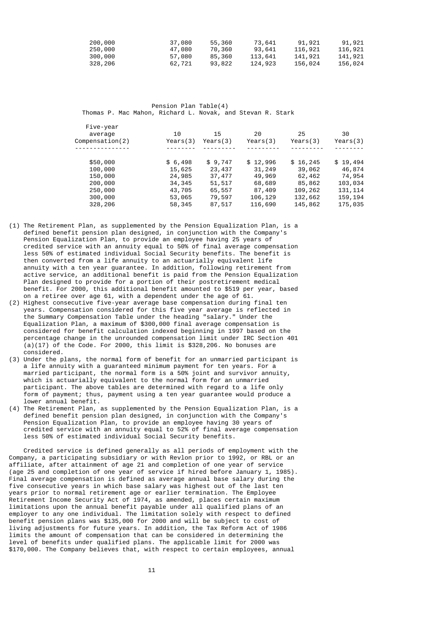| 200,000 | 37,080 | 55,360 | 73,641  | 91,921  | 91,921  |
|---------|--------|--------|---------|---------|---------|
| 250,000 | 47,080 | 70,360 | 93,641  | 116,921 | 116,921 |
| 300,000 | 57,080 | 85,360 | 113,641 | 141,921 | 141,921 |
| 328,206 | 62,721 | 93,822 | 124,923 | 156,024 | 156,024 |

 Pension Plan Table(4) Thomas P. Mac Mahon, Richard L. Novak, and Stevan R. Stark

| Five-year<br>average<br>Compenstation(2) | 10<br>Years(3) | 15<br>Years(3) | 20<br>Years $(3)$ | 25<br>Years $(3)$ | 30<br>Years(3) |
|------------------------------------------|----------------|----------------|-------------------|-------------------|----------------|
|                                          |                |                |                   |                   |                |
| \$50,000                                 | \$6,498        | \$9,747        | \$12,996          | \$16,245          | \$19,494       |
| 100,000                                  | 15,625         | 23,437         | 31,249            | 39,062            | 46,874         |
| 150,000                                  | 24,985         | 37,477         | 49,969            | 62,462            | 74,954         |
| 200,000                                  | 34, 345        | 51,517         | 68,689            | 85,862            | 103,034        |
| 250,000                                  | 43,705         | 65,557         | 87,409            | 109,262           | 131, 114       |
| 300,000                                  | 53,065         | 79,597         | 106,129           | 132,662           | 159, 194       |
| 328,206                                  | 58,345         | 87,517         | 116,690           | 145,862           | 175,035        |
|                                          |                |                |                   |                   |                |

- (1) The Retirement Plan, as supplemented by the Pension Equalization Plan, is a defined benefit pension plan designed, in conjunction with the Company's Pension Equalization Plan, to provide an employee having 25 years of credited service with an annuity equal to 50% of final average compensation less 50% of estimated individual Social Security benefits. The benefit is then converted from a life annuity to an actuarially equivalent life annuity with a ten year guarantee. In addition, following retirement from active service, an additional benefit is paid from the Pension Equalization Plan designed to provide for a portion of their postretirement medical benefit. For 2000, this additional benefit amounted to \$519 per year, based on a retiree over age 61, with a dependent under the age of 61.
- (2) Highest consecutive five-year average base compensation during final ten years. Compensation considered for this five year average is reflected in the Summary Compensation Table under the heading "salary." Under the Equalization Plan, a maximum of \$300,000 final average compensation is considered for benefit calculation indexed beginning in 1997 based on the percentage change in the unrounded compensation limit under IRC Section 401  $(a)(17)$  of the Code. For 2000, this limit is \$328,206. No bonuses are considered.
- (3) Under the plans, the normal form of benefit for an unmarried participant is a life annuity with a guaranteed minimum payment for ten years. For a married participant, the normal form is a 50% joint and survivor annuity, which is actuarially equivalent to the normal form for an unmarried participant. The above tables are determined with regard to a life only form of payment; thus, payment using a ten year guarantee would produce a lower annual benefit.
- (4) The Retirement Plan, as supplemented by the Pension Equalization Plan, is a defined benefit pension plan designed, in conjunction with the Company' Pension Equalization Plan, to provide an employee having 30 years of credited service with an annuity equal to 52% of final average compensation less 50% of estimated individual Social Security benefits.

 Credited service is defined generally as all periods of employment with the Company, a participating subsidiary or with Revlon prior to 1992, or RBL or an affiliate, after attainment of age 21 and completion of one year of service (age 25 and completion of one year of service if hired before January 1, 1985). Final average compensation is defined as average annual base salary during the five consecutive years in which base salary was highest out of the last ten years prior to normal retirement age or earlier termination. The Employee Retirement Income Security Act of 1974, as amended, places certain maximum limitations upon the annual benefit payable under all qualified plans of an employer to any one individual. The limitation solely with respect to defined benefit pension plans was \$135,000 for 2000 and will be subject to cost of living adjustments for future years. In addition, the Tax Reform Act of 1986 limits the amount of compensation that can be considered in determining the level of benefits under qualified plans. The applicable limit for 2000 was \$170,000. The Company believes that, with respect to certain employees, annual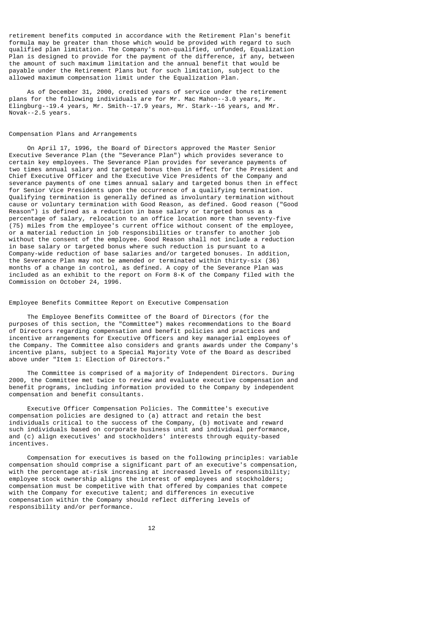retirement benefits computed in accordance with the Retirement Plan's benefit formula may be greater than those which would be provided with regard to such qualified plan limitation. The Company's non-qualified, unfunded, Equalization Plan is designed to provide for the payment of the difference, if any, between the amount of such maximum limitation and the annual benefit that would be payable under the Retirement Plans but for such limitation, subject to the allowed maximum compensation limit under the Equalization Plan.

 As of December 31, 2000, credited years of service under the retirement plans for the following individuals are for Mr. Mac Mahon--3.0 years, Mr. Elingburg--19.4 years, Mr. Smith--17.9 years, Mr. Stark--16 years, and Mr. Novak--2.5 years.

## Compensation Plans and Arrangements

 On April 17, 1996, the Board of Directors approved the Master Senior Executive Severance Plan (the "Severance Plan") which provides severance to certain key employees. The Severance Plan provides for severance payments of two times annual salary and targeted bonus then in effect for the President and Chief Executive Officer and the Executive Vice Presidents of the Company and severance payments of one times annual salary and targeted bonus then in effect for Senior Vice Presidents upon the occurrence of a qualifying termination. Qualifying termination is generally defined as involuntary termination without cause or voluntary termination with Good Reason, as defined. Good reason ("Good Reason") is defined as a reduction in base salary or targeted bonus as a percentage of salary, relocation to an office location more than seventy-five (75) miles from the employee's current office without consent of the employee, or a material reduction in job responsibilities or transfer to another job without the consent of the employee. Good Reason shall not include a reduction in base salary or targeted bonus where such reduction is pursuant to a Company-wide reduction of base salaries and/or targeted bonuses. In addition, the Severance Plan may not be amended or terminated within thirty-six (36) months of a change in control, as defined. A copy of the Severance Plan was included as an exhibit to the report on Form 8-K of the Company filed with the Commission on October 24, 1996.

Employee Benefits Committee Report on Executive Compensation

 The Employee Benefits Committee of the Board of Directors (for the purposes of this section, the "Committee") makes recommendations to the Board of Directors regarding compensation and benefit policies and practices and incentive arrangements for Executive Officers and key managerial employees of the Company. The Committee also considers and grants awards under the Company's incentive plans, subject to a Special Majority Vote of the Board as described above under "Item 1: Election of Directors."

 The Committee is comprised of a majority of Independent Directors. During 2000, the Committee met twice to review and evaluate executive compensation and benefit programs, including information provided to the Company by independent compensation and benefit consultants.

 Executive Officer Compensation Policies. The Committee's executive compensation policies are designed to (a) attract and retain the best individuals critical to the success of the Company, (b) motivate and reward such individuals based on corporate business unit and individual performance, and (c) align executives' and stockholders' interests through equity-based incentives.

 Compensation for executives is based on the following principles: variable compensation should comprise a significant part of an executive's compensation, with the percentage at-risk increasing at increased levels of responsibility; employee stock ownership aligns the interest of employees and stockholders; compensation must be competitive with that offered by companies that compete with the Company for executive talent; and differences in executive compensation within the Company should reflect differing levels of responsibility and/or performance.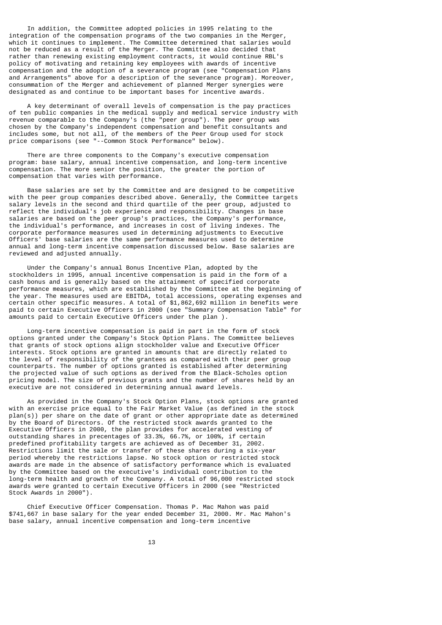In addition, the Committee adopted policies in 1995 relating to the integration of the compensation programs of the two companies in the Merger, which it continues to implement. The Committee determined that salaries would not be reduced as a result of the Merger. The Committee also decided that rather than renewing existing employment contracts, it would continue RBL's policy of motivating and retaining key employees with awards of incentive compensation and the adoption of a severance program (see "Compensation Plans and Arrangements" above for a description of the severance program). Moreover, consummation of the Merger and achievement of planned Merger synergies were designated as and continue to be important bases for incentive awards.

 A key determinant of overall levels of compensation is the pay practices of ten public companies in the medical supply and medical service industry with revenue comparable to the Company's (the "peer group"). The peer group was chosen by the Company's independent compensation and benefit consultants and includes some, but not all, of the members of the Peer Group used for stock price comparisons (see "--Common Stock Performance" below).

 There are three components to the Company's executive compensation program: base salary, annual incentive compensation, and long-term incentive compensation. The more senior the position, the greater the portion of compensation that varies with performance.

 Base salaries are set by the Committee and are designed to be competitive with the peer group companies described above. Generally, the Committee targets salary levels in the second and third quartile of the peer group, adjusted to reflect the individual's job experience and responsibility. Changes in base salaries are based on the peer group's practices, the Company's performance, the individual's performance, and increases in cost of living indexes. The corporate performance measures used in determining adjustments to Executive Officers' base salaries are the same performance measures used to determine annual and long-term incentive compensation discussed below. Base salaries are reviewed and adjusted annually.

 Under the Company's annual Bonus Incentive Plan, adopted by the stockholders in 1995, annual incentive compensation is paid in the form of a cash bonus and is generally based on the attainment of specified corporate performance measures, which are established by the Committee at the beginning of the year. The measures used are EBITDA, total accessions, operating expenses and certain other specific measures. A total of \$1,862,692 million in benefits were paid to certain Executive Officers in 2000 (see "Summary Compensation Table" for amounts paid to certain Executive Officers under the plan ).

 Long-term incentive compensation is paid in part in the form of stock options granted under the Company's Stock Option Plans. The Committee believes that grants of stock options align stockholder value and Executive Officer interests. Stock options are granted in amounts that are directly related to the level of responsibility of the grantees as compared with their peer group counterparts. The number of options granted is established after determining the projected value of such options as derived from the Black-Scholes option pricing model. The size of previous grants and the number of shares held by an executive are not considered in determining annual award levels.

 As provided in the Company's Stock Option Plans, stock options are granted with an exercise price equal to the Fair Market Value (as defined in the stock  $plan(s)$ ) per share on the date of grant or other appropriate date as determined by the Board of Directors. Of the restricted stock awards granted to the Executive Officers in 2000, the plan provides for accelerated vesting of outstanding shares in precentages of 33.3%, 66.7%, or 100%, if certain predefined profitability targets are achieved as of December 31, 2002. Restrictions limit the sale or transfer of these shares during a six-year period whereby the restrictions lapse. No stock option or restricted stock awards are made in the absence of satisfactory performance which is evaluated by the Committee based on the executive's individual contribution to the long-term health and growth of the Company. A total of 96,000 restricted stock awards were granted to certain Executive Officers in 2000 (see "Restricted Stock Awards in 2000").

 Chief Executive Officer Compensation. Thomas P. Mac Mahon was paid \$741,667 in base salary for the year ended December 31, 2000. Mr. Mac Mahon's base salary, annual incentive compensation and long-term incentive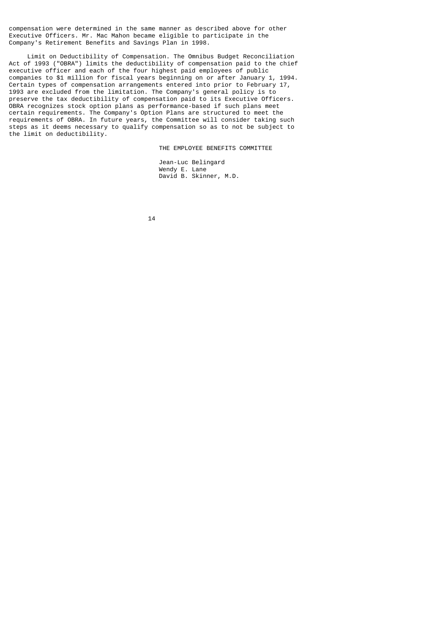compensation were determined in the same manner as described above for other Executive Officers. Mr. Mac Mahon became eligible to participate in the Company's Retirement Benefits and Savings Plan in 1998.

 Limit on Deductibility of Compensation. The Omnibus Budget Reconciliation Act of 1993 ("OBRA") limits the deductibility of compensation paid to the chief executive officer and each of the four highest paid employees of public companies to \$1 million for fiscal years beginning on or after January 1, 1994. Certain types of compensation arrangements entered into prior to February 17, 1993 are excluded from the limitation. The Company's general policy is to preserve the tax deductibility of compensation paid to its Executive Officers. OBRA recognizes stock option plans as performance-based if such plans meet certain requirements. The Company's Option Plans are structured to meet the requirements of OBRA. In future years, the Committee will consider taking such steps as it deems necessary to qualify compensation so as to not be subject to the limit on deductibility.

THE EMPLOYEE BENEFITS COMMITTEE

 Jean-Luc Belingard Wendy E. Lane David B. Skinner, M.D.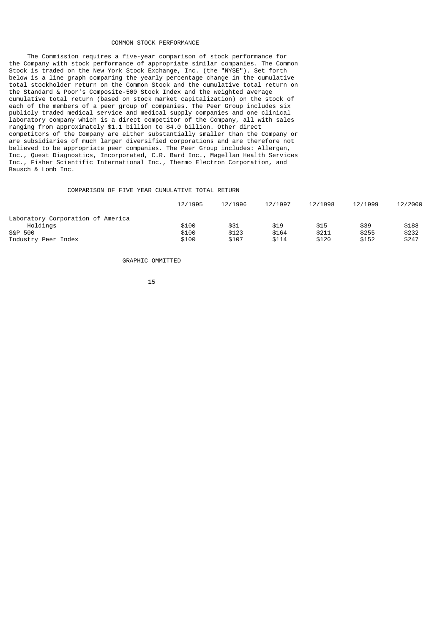### COMMON STOCK PERFORMANCE

 The Commission requires a five-year comparison of stock performance for the Company with stock performance of appropriate similar companies. The Common Stock is traded on the New York Stock Exchange, Inc. (the "NYSE"). Set forth below is a line graph comparing the yearly percentage change in the cumulative total stockholder return on the Common Stock and the cumulative total return on the Standard & Poor's Composite-500 Stock Index and the weighted average cumulative total return (based on stock market capitalization) on the stock of each of the members of a peer group of companies. The Peer Group includes six publicly traded medical service and medical supply companies and one clinical laboratory company which is a direct competitor of the Company, all with sales ranging from approximately \$1.1 billion to \$4.0 billion. Other direct competitors of the Company are either substantially smaller than the Company or are subsidiaries of much larger diversified corporations and are therefore not believed to be appropriate peer companies. The Peer Group includes: Allergan, Inc., Quest Diagnostics, Incorporated, C.R. Bard Inc., Magellan Health Services Inc., Fisher Scientific International Inc., Thermo Electron Corporation, and Bausch & Lomb Inc.

# COMPARISON OF FIVE YEAR CUMULATIVE TOTAL RETURN

|                                   | 12/1995 | 12/1996 | 12/1997 | 12/1998 | 12/1999 | 12/2000 |
|-----------------------------------|---------|---------|---------|---------|---------|---------|
| Laboratory Corporation of America |         |         |         |         |         |         |
| Holdings                          | \$100   | \$31    | \$19    | \$15    | \$39    | \$188   |
| S&P 500                           | \$100   | \$123   | \$164   | \$211   | \$255   | \$232   |
| Industry Peer Index               | \$100   | \$107   | \$114   | \$120   | \$152   | \$247   |

GRAPHIC OMMITTED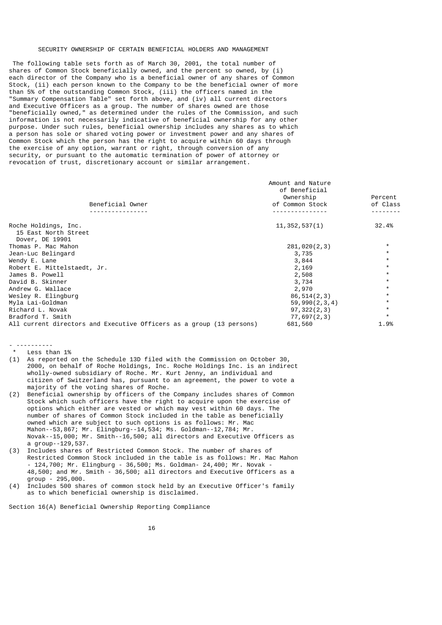#### SECURITY OWNERSHIP OF CERTAIN BENEFICIAL HOLDERS AND MANAGEMENT

 The following table sets forth as of March 30, 2001, the total number of shares of Common Stock beneficially owned, and the percent so owned, by (i) each director of the Company who is a beneficial owner of any shares of Common Stock, (ii) each person known to the Company to be the beneficial owner of more than 5% of the outstanding Common Stock, (iii) the officers named in the "Summary Compensation Table" set forth above, and (iv) all current directors and Executive Officers as a group. The number of shares owned are those "beneficially owned," as determined under the rules of the Commission, and such information is not necessarily indicative of beneficial ownership for any other purpose. Under such rules, beneficial ownership includes any shares as to which a person has sole or shared voting power or investment power and any shares of Common Stock which the person has the right to acquire within 60 days through the exercise of any option, warrant or right, through conversion of any security, or pursuant to the automatic termination of power of attorney or revocation of trust, discretionary account or similar arrangement.

|                                                                      | Amount and Nature          |          |
|----------------------------------------------------------------------|----------------------------|----------|
|                                                                      | of Beneficial<br>Ownership | Percent  |
| Beneficial Owner                                                     | of Common Stock            | of Class |
|                                                                      |                            |          |
| Roche Holdings, Inc.<br>15 East North Street<br>Dover, DE 19901      | 11, 352, 537(1)            | 32.4%    |
| Thomas P. Mac Mahon                                                  | 281,020(2,3)               |          |
| Jean-Luc Belingard                                                   | 3,735                      |          |
| Wendy E. Lane                                                        | 3,844                      | $\star$  |
| Robert E. Mittelstaedt, Jr.                                          | 2,169                      | $\star$  |
| James B. Powell                                                      | 2,508                      | $\star$  |
| David B. Skinner                                                     | 3,734                      |          |
| Andrew G. Wallace                                                    | 2,970                      | $\star$  |
| Wesley R. Elingburg                                                  | 86, 514(2, 3)              | $^\star$ |
| Myla Lai-Goldman                                                     | 59,990(2,3,4)              | $\star$  |
| Richard L. Novak                                                     | 97, 322(2,3)               |          |
| Bradford T. Smith                                                    | 77,697(2,3)                | $\star$  |
| All current directors and Executive Officers as a group (13 persons) | 681,560                    | 1.9%     |

- --------- less than 1%

- (1) As reported on the Schedule 13D filed with the Commission on October 30, 2000, on behalf of Roche Holdings, Inc. Roche Holdings Inc. is an indirect wholly-owned subsidiary of Roche. Mr. Kurt Jenny, an individual and citizen of Switzerland has, pursuant to an agreement, the power to vote a majority of the voting shares of Roche.
- (2) Beneficial ownership by officers of the Company includes shares of Common Stock which such officers have the right to acquire upon the exercise of options which either are vested or which may vest within 60 days. The number of shares of Common Stock included in the table as beneficially owned which are subject to such options is as follows: Mr. Mac Mahon--53,867; Mr. Elingburg--14,534; Ms. Goldman--12,784; Mr. Novak--15,000; Mr. Smith--16,500; all directors and Executive Officers as a group--129,537.
- (3) Includes shares of Restricted Common Stock. The number of shares of Restricted Common Stock included in the table is as follows: Mr. Mac Mahon - 124,700; Mr. Elingburg - 36,500; Ms. Goldman- 24,400; Mr. Novak - 48,500; and Mr. Smith - 36,500; all directors and Executive Officers as a group - 295,000.
- (4) Includes 500 shares of common stock held by an Executive Officer's family as to which beneficial ownership is disclaimed.

Section 16(A) Beneficial Ownership Reporting Compliance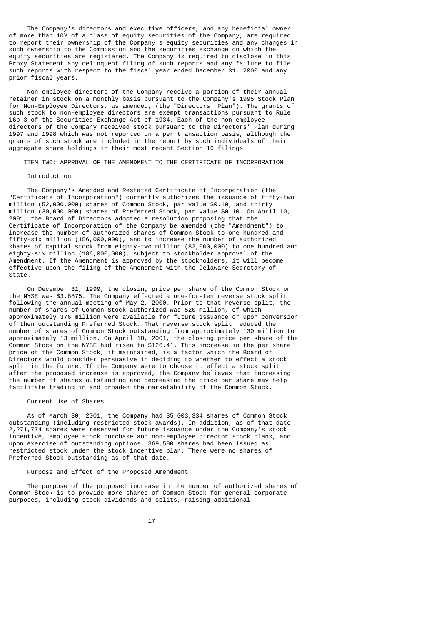The Company's directors and executive officers, and any beneficial owner of more than 10% of a class of equity securities of the Company, are required to report their ownership of the Company's equity securities and any changes in such ownership to the Commission and the securities exchange on which the equity securities are registered. The Company is required to disclose in this Proxy Statement any delinquent filing of such reports and any failure to file such reports with respect to the fiscal year ended December 31, 2000 and any prior fiscal years.

 Non-employee directors of the Company receive a portion of their annual retainer in stock on a monthly basis pursuant to the Company's 1995 Stock Plan for Non-Employee Directors, as amended, (the "Directors' Plan"). The grants of such stock to non-employee directors are exempt transactions pursuant to Rule 16b-3 of the Securities Exchange Act of 1934. Each of the non-employee directors of the Company received stock pursuant to the Directors' Plan during 1997 and 1998 which was not reported on a per transaction basis, although the grants of such stock are included in the report by such individuals of their aggregate share holdings in their most recent Section 16 filings.

ITEM TWO: APPROVAL OF THE AMENDMENT TO THE CERTIFICATE OF INCORPORATION

### Introduction

 The Company's Amended and Restated Certificate of Incorporation (the "Certificate of Incorporation") currently authorizes the issuance of fifty-two million (52,000,000) shares of Common Stock, par value \$0.10, and thirty million (30,000,000) shares of Preferred Stock, par value \$0.10. On April 10, 2001, the Board of Directors adopted a resolution proposing that the Certificate of Incorporation of the Company be amended (the "Amendment") to increase the number of authorized shares of Common Stock to one hundred and fifty-six million (156,000,000), and to increase the number of authorized shares of capital stock from eighty-two million (82,000,000) to one hundred and eighty-six million (186,000,000), subject to stockholder approval of the Amendment. If the Amendment is approved by the stockholders, it will become effective upon the filing of the Amendment with the Delaware Secretary of State.

 On December 31, 1999, the closing price per share of the Common Stock on the NYSE was \$3.6875. The Company effected a one-for-ten reverse stock split following the annual meeting of May 2, 2000. Prior to that reverse split, the number of shares of Common Stock authorized was 520 million, of which approximately 376 million were available for future issuance or upon conversion of then outstanding Preferred Stock. That reverse stock split reduced the number of shares of Common Stock outstanding from approximately 130 million to approximately 13 million. On April 10, 2001, the closing price per share of the Common Stock on the NYSE had risen to \$126.41. This increase in the per share price of the Common Stock, if maintained, is a factor which the Board of Directors would consider persuasive in deciding to whether to effect a stock split in the future. If the Company were to choose to effect a stock split after the proposed increase is approved, the Company believes that increasing the number of shares outstanding and decreasing the price per share may help facilitate trading in and broaden the marketability of the Common Stock.

### Current Use of Shares

 As of March 30, 2001, the Company had 35,003,334 shares of Common Stock outstanding (including restricted stock awards). In addition, as of that date 2,271,774 shares were reserved for future issuance under the Company's stock incentive, employee stock purchase and non-employee director stock plans, and upon exercise of outstanding options. 369,500 shares had been issued as restricted stock under the stock incentive plan. There were no shares of Preferred Stock outstanding as of that date.

### Purpose and Effect of the Proposed Amendment

 The purpose of the proposed increase in the number of authorized shares of Common Stock is to provide more shares of Common Stock for general corporate purposes, including stock dividends and splits, raising additional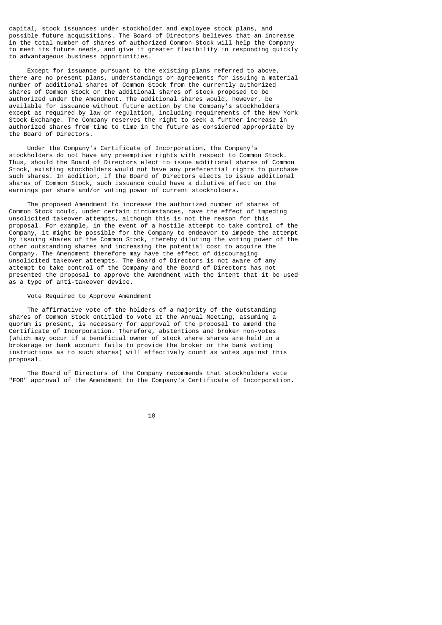capital, stock issuances under stockholder and employee stock plans, and possible future acquisitions. The Board of Directors believes that an increase in the total number of shares of authorized Common Stock will help the Company to meet its future needs, and give it greater flexibility in responding quickly to advantageous business opportunities.

 Except for issuance pursuant to the existing plans referred to above, there are no present plans, understandings or agreements for issuing a material number of additional shares of Common Stock from the currently authorized shares of Common Stock or the additional shares of stock proposed to be authorized under the Amendment. The additional shares would, however, be available for issuance without future action by the Company's stockholders except as required by law or regulation, including requirements of the New York Stock Exchange. The Company reserves the right to seek a further increase in authorized shares from time to time in the future as considered appropriate by the Board of Directors.

 Under the Company's Certificate of Incorporation, the Company's stockholders do not have any preemptive rights with respect to Common Stock. Thus, should the Board of Directors elect to issue additional shares of Common Stock, existing stockholders would not have any preferential rights to purchase such shares. In addition, if the Board of Directors elects to issue additional shares of Common Stock, such issuance could have a dilutive effect on the earnings per share and/or voting power of current stockholders.

 The proposed Amendment to increase the authorized number of shares of Common Stock could, under certain circumstances, have the effect of impeding unsolicited takeover attempts, although this is not the reason for this proposal. For example, in the event of a hostile attempt to take control of the Company, it might be possible for the Company to endeavor to impede the attempt by issuing shares of the Common Stock, thereby diluting the voting power of the other outstanding shares and increasing the potential cost to acquire the Company. The Amendment therefore may have the effect of discouraging unsolicited takeover attempts. The Board of Directors is not aware of any attempt to take control of the Company and the Board of Directors has not presented the proposal to approve the Amendment with the intent that it be used as a type of anti-takeover device.

## Vote Required to Approve Amendment

 The affirmative vote of the holders of a majority of the outstanding shares of Common Stock entitled to vote at the Annual Meeting, assuming a quorum is present, is necessary for approval of the proposal to amend the Certificate of Incorporation. Therefore, abstentions and broker non-votes (which may occur if a beneficial owner of stock where shares are held in a brokerage or bank account fails to provide the broker or the bank voting instructions as to such shares) will effectively count as votes against this proposal.

 The Board of Directors of the Company recommends that stockholders vote "FOR" approval of the Amendment to the Company's Certificate of Incorporation.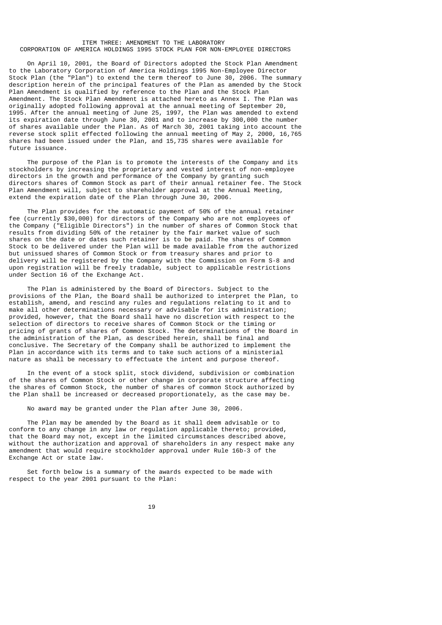## ITEM THREE: AMENDMENT TO THE LABORATORY CORPORATION OF AMERICA HOLDINGS 1995 STOCK PLAN FOR NON-EMPLOYEE DIRECTORS

 On April 10, 2001, the Board of Directors adopted the Stock Plan Amendment to the Laboratory Corporation of America Holdings 1995 Non-Employee Director Stock Plan (the "Plan") to extend the term thereof to June 30, 2006. The summary description herein of the principal features of the Plan as amended by the Stock Plan Amendment is qualified by reference to the Plan and the Stock Plan Amendment. The Stock Plan Amendment is attached hereto as Annex I. The Plan was originally adopted following approval at the annual meeting of September 20, 1995. After the annual meeting of June 25, 1997, the Plan was amended to extend its expiration date through June 30, 2001 and to increase by 300,000 the number of shares available under the Plan. As of March 30, 2001 taking into account the reverse stock split effected following the annual meeting of May 2, 2000, 16,765 shares had been issued under the Plan, and 15,735 shares were available for future issuance.

 The purpose of the Plan is to promote the interests of the Company and its stockholders by increasing the proprietary and vested interest of non-employee directors in the growth and performance of the Company by granting such directors shares of Common Stock as part of their annual retainer fee. The Stock Plan Amendment will, subject to shareholder approval at the Annual Meeting, extend the expiration date of the Plan through June 30, 2006.

 The Plan provides for the automatic payment of 50% of the annual retainer fee (currently \$30,000) for directors of the Company who are not employees of the Company ("Eligible Directors") in the number of shares of Common Stock that results from dividing 50% of the retainer by the fair market value of such shares on the date or dates such retainer is to be paid. The shares of Common Stock to be delivered under the Plan will be made available from the authorized but unissued shares of Common Stock or from treasury shares and prior to delivery will be registered by the Company with the Commission on Form S-8 and upon registration will be freely tradable, subject to applicable restrictions under Section 16 of the Exchange Act.

 The Plan is administered by the Board of Directors. Subject to the provisions of the Plan, the Board shall be authorized to interpret the Plan, to establish, amend, and rescind any rules and regulations relating to it and to make all other determinations necessary or advisable for its administration; provided, however, that the Board shall have no discretion with respect to the selection of directors to receive shares of Common Stock or the timing or pricing of grants of shares of Common Stock. The determinations of the Board in the administration of the Plan, as described herein, shall be final and conclusive. The Secretary of the Company shall be authorized to implement the Plan in accordance with its terms and to take such actions of a ministerial nature as shall be necessary to effectuate the intent and purpose thereof.

 In the event of a stock split, stock dividend, subdivision or combination of the shares of Common Stock or other change in corporate structure affecting the shares of Common Stock, the number of shares of common Stock authorized by the Plan shall be increased or decreased proportionately, as the case may be.

No award may be granted under the Plan after June 30, 2006.

 The Plan may be amended by the Board as it shall deem advisable or to conform to any change in any law or regulation applicable thereto; provided, that the Board may not, except in the limited circumstances described above, without the authorization and approval of shareholders in any respect make any amendment that would require stockholder approval under Rule 16b-3 of the Exchange Act or state law.

 Set forth below is a summary of the awards expected to be made with respect to the year 2001 pursuant to the Plan: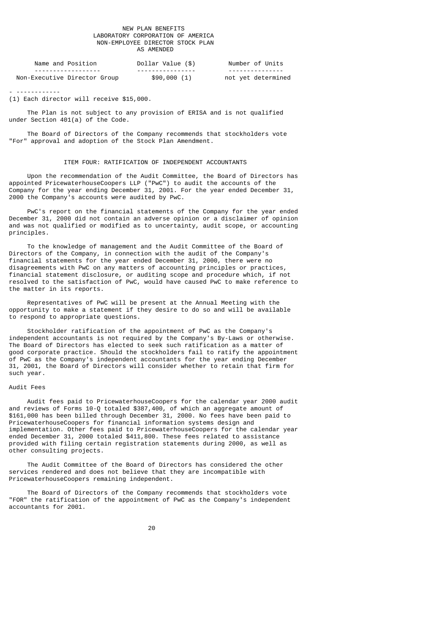### NEW PLAN BENEFITS LABORATORY CORPORATION OF AMERICA NON-EMPLOYEE DIRECTOR STOCK PLAN AS AMENDED

| Name and Position                   | Dollar Value (\$)               | Number of Units    |
|-------------------------------------|---------------------------------|--------------------|
| - - - - - - - - - - - - - - - - - - | - - - - - - - - - - - - - - - - | ----------------   |
| Non-Executive Director Group        | \$90,000(1)                     | not yet determined |

- ------------

(1) Each director will receive \$15,000.

 The Plan is not subject to any provision of ERISA and is not qualified under Section 401(a) of the Code.

 The Board of Directors of the Company recommends that stockholders vote "For" approval and adoption of the Stock Plan Amendment.

### ITEM FOUR: RATIFICATION OF INDEPENDENT ACCOUNTANTS

 Upon the recommendation of the Audit Committee, the Board of Directors has appointed PricewaterhouseCoopers LLP ("PwC") to audit the accounts of the Company for the year ending December 31, 2001. For the year ended December 31, 2000 the Company's accounts were audited by PwC.

 PwC's report on the financial statements of the Company for the year ended December 31, 2000 did not contain an adverse opinion or a disclaimer of opinion and was not qualified or modified as to uncertainty, audit scope, or accounting principles.

 To the knowledge of management and the Audit Committee of the Board of Directors of the Company, in connection with the audit of the Company's financial statements for the year ended December 31, 2000, there were no disagreements with PwC on any matters of accounting principles or practices, financial statement disclosure, or auditing scope and procedure which, if not resolved to the satisfaction of PwC, would have caused PwC to make reference to the matter in its reports.

 Representatives of PwC will be present at the Annual Meeting with the opportunity to make a statement if they desire to do so and will be available to respond to appropriate questions.

 Stockholder ratification of the appointment of PwC as the Company's independent accountants is not required by the Company's By-Laws or otherwise. The Board of Directors has elected to seek such ratification as a matter of good corporate practice. Should the stockholders fail to ratify the appointment of PwC as the Company's independent accountants for the year ending December 31, 2001, the Board of Directors will consider whether to retain that firm for such year.

## Audit Fees

 Audit fees paid to PricewaterhouseCoopers for the calendar year 2000 audit and reviews of Forms 10-Q totaled \$387,400, of which an aggregate amount of \$161,000 has been billed through December 31, 2000. No fees have been paid to PricewaterhouseCoopers for financial information systems design and implementation. Other fees paid to PricewaterhouseCoopers for the calendar year ended December 31, 2000 totaled \$411,800. These fees related to assistance provided with filing certain registration statements during 2000, as well as other consulting projects.

 The Audit Committee of the Board of Directors has considered the other services rendered and does not believe that they are incompatible with PricewaterhouseCoopers remaining independent.

 The Board of Directors of the Company recommends that stockholders vote "FOR" the ratification of the appointment of PwC as the Company's independent accountants for 2001.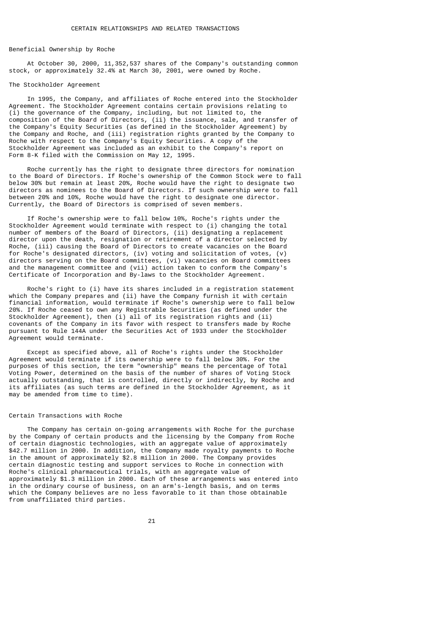#### Beneficial Ownership by Roche

 At October 30, 2000, 11,352,537 shares of the Company's outstanding common stock, or approximately 32.4% at March 30, 2001, were owned by Roche.

#### The Stockholder Agreement

 In 1995, the Company, and affiliates of Roche entered into the Stockholder Agreement. The Stockholder Agreement contains certain provisions relating to (i) the governance of the Company, including, but not limited to, the composition of the Board of Directors, (ii) the issuance, sale, and transfer of the Company's Equity Securities (as defined in the Stockholder Agreement) by the Company and Roche, and (iii) registration rights granted by the Company to Roche with respect to the Company's Equity Securities. A copy of the Stockholder Agreement was included as an exhibit to the Company's report on Form 8-K filed with the Commission on May 12, 1995.

 Roche currently has the right to designate three directors for nomination to the Board of Directors. If Roche's ownership of the Common Stock were to fall below 30% but remain at least 20%, Roche would have the right to designate two directors as nominees to the Board of Directors. If such ownership were to fall between 20% and 10%, Roche would have the right to designate one director. Currently, the Board of Directors is comprised of seven members.

 If Roche's ownership were to fall below 10%, Roche's rights under the Stockholder Agreement would terminate with respect to (i) changing the total number of members of the Board of Directors, (ii) designating a replacement director upon the death, resignation or retirement of a director selected by Roche, (iii) causing the Board of Directors to create vacancies on the Board for Roche's designated directors, (iv) voting and solicitation of votes, (v) directors serving on the Board committees, (vi) vacancies on Board committees and the management committee and (vii) action taken to conform the Company's Certificate of Incorporation and By-laws to the Stockholder Agreement.

 Roche's right to (i) have its shares included in a registration statement which the Company prepares and (ii) have the Company furnish it with certain financial information, would terminate if Roche's ownership were to fall below 20%. If Roche ceased to own any Registrable Securities (as defined under the Stockholder Agreement), then  $(i)$  all of its registration rights and  $(ii)$ covenants of the Company in its favor with respect to transfers made by Roche pursuant to Rule 144A under the Securities Act of 1933 under the Stockholder Agreement would terminate.

 Except as specified above, all of Roche's rights under the Stockholder Agreement would terminate if its ownership were to fall below 30%. For the purposes of this section, the term "ownership" means the percentage of Total Voting Power, determined on the basis of the number of shares of Voting Stock actually outstanding, that is controlled, directly or indirectly, by Roche and its affiliates (as such terms are defined in the Stockholder Agreement, as it may be amended from time to time).

### Certain Transactions with Roche

 The Company has certain on-going arrangements with Roche for the purchase by the Company of certain products and the licensing by the Company from Roche of certain diagnostic technologies, with an aggregate value of approximately \$42.7 million in 2000. In addition, the Company made royalty payments to Roche in the amount of approximately \$2.8 million in 2000. The Company provides certain diagnostic testing and support services to Roche in connection with Roche's clinical pharmaceutical trials, with an aggregate value of approximately \$1.3 million in 2000. Each of these arrangements was entered into in the ordinary course of business, on an arm's-length basis, and on terms which the Company believes are no less favorable to it than those obtainable from unaffiliated third parties.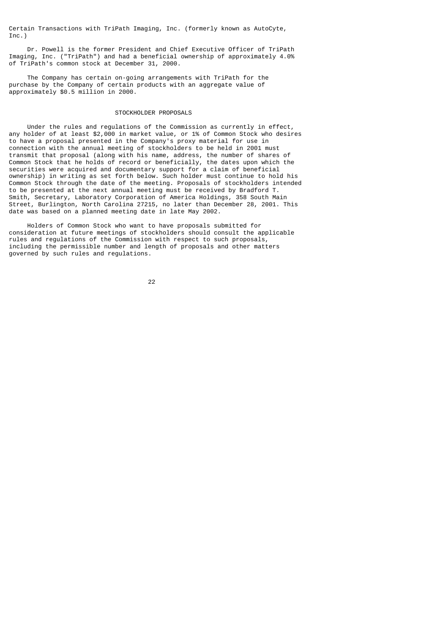Certain Transactions with TriPath Imaging, Inc. (formerly known as AutoCyte, Inc.)

 Dr. Powell is the former President and Chief Executive Officer of TriPath Imaging, Inc. ("TriPath") and had a beneficial ownership of approximately 4.0% of TriPath's common stock at December 31, 2000.

 The Company has certain on-going arrangements with TriPath for the purchase by the Company of certain products with an aggregate value of approximately \$0.5 million in 2000.

### STOCKHOLDER PROPOSALS

 Under the rules and regulations of the Commission as currently in effect, any holder of at least \$2,000 in market value, or 1% of Common Stock who desires to have a proposal presented in the Company's proxy material for use in connection with the annual meeting of stockholders to be held in 2001 must transmit that proposal (along with his name, address, the number of shares of Common Stock that he holds of record or beneficially, the dates upon which the securities were acquired and documentary support for a claim of beneficial ownership) in writing as set forth below. Such holder must continue to hold his Common Stock through the date of the meeting. Proposals of stockholders intended to be presented at the next annual meeting must be received by Bradford T. Smith, Secretary, Laboratory Corporation of America Holdings, 358 South Main Street, Burlington, North Carolina 27215, no later than December 28, 2001. This date was based on a planned meeting date in late May 2002.

 Holders of Common Stock who want to have proposals submitted for consideration at future meetings of stockholders should consult the applicable rules and regulations of the Commission with respect to such proposals, including the permissible number and length of proposals and other matters governed by such rules and regulations.

<u>22 and 23 and 23 and 23 and 23 and 23 and 23 and 23 and 23 and 23 and 23 and 23 and 23 and 23 and 23 and 23 a</u>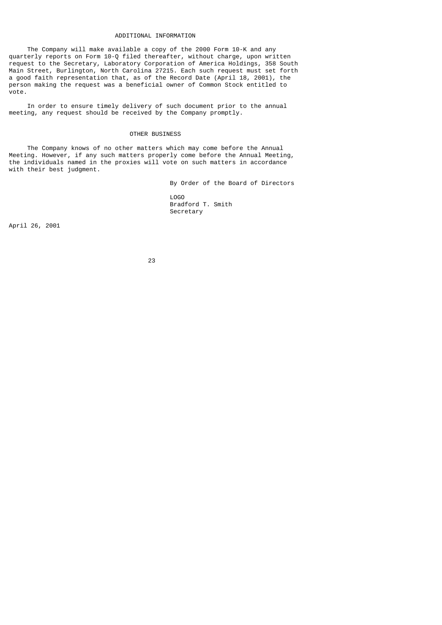#### ADDITIONAL INFORMATION

 The Company will make available a copy of the 2000 Form 10-K and any quarterly reports on Form 10-Q filed thereafter, without charge, upon written request to the Secretary, Laboratory Corporation of America Holdings, 358 South Main Street, Burlington, North Carolina 27215. Each such request must set forth a good faith representation that, as of the Record Date (April 18, 2001), the person making the request was a beneficial owner of Common Stock entitled to vote.

 In order to ensure timely delivery of such document prior to the annual meeting, any request should be received by the Company promptly.

# OTHER BUSINESS

 The Company knows of no other matters which may come before the Annual Meeting. However, if any such matters properly come before the Annual Meeting, the individuals named in the proxies will vote on such matters in accordance with their best judgment.

 By Order of the Board of Directors LOGO Bradford T. Smith Secretary

April 26, 2001

<u>23 and 23 and 23 and 23 and 23 and 23 and 23 and 23 and 23 and 23 and 23 and 23 and 23 and 23 and 23 and 23 and 23 and 23 and 23 and 23 and 23 and 23 and 23 and 23 and 23 and 23 and 23 and 23 and 23 and 23 and 23 and 23 a</u>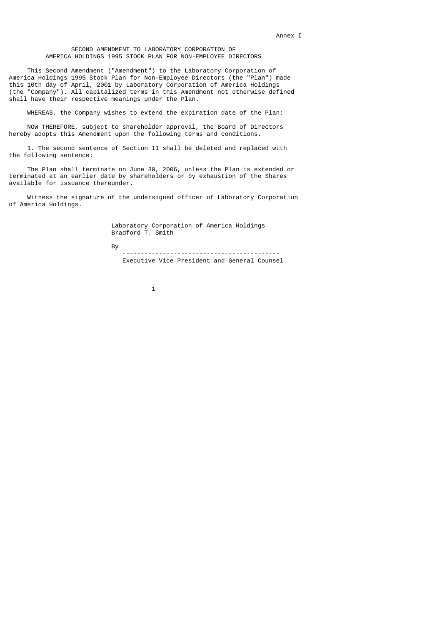### SECOND AMENDMENT TO LABORATORY CORPORATION OF AMERICA HOLDINGS 1995 STOCK PLAN FOR NON-EMPLOYEE DIRECTORS

 This Second Amendment ("Amendment") to the Laboratory Corporation of America Holdings 1995 Stock Plan for Non-Employee Directors (the "Plan") made this 10th day of April, 2001 by Laboratory Corporation of America Holdings (the "Company"). All capitalized terms in this Amendment not otherwise defined shall have their respective meanings under the Plan.

WHEREAS, the Company wishes to extend the expiration date of the Plan;

 NOW THEREFORE, subject to shareholder approval, the Board of Directors hereby adopts this Amendment upon the following terms and conditions.

 1. The second sentence of Section 11 shall be deleted and replaced with the following sentence:

 The Plan shall terminate on June 30, 2006, unless the Plan is extended or terminated at an earlier date by shareholders or by exhaustion of the Shares available for issuance thereunder.

 Witness the signature of the undersigned officer of Laboratory Corporation of America Holdings.

> Laboratory Corporation of America Holdings Bradford T. Smith

and the state of the By

 ------------------------------------------- Executive Vice President and General Counsel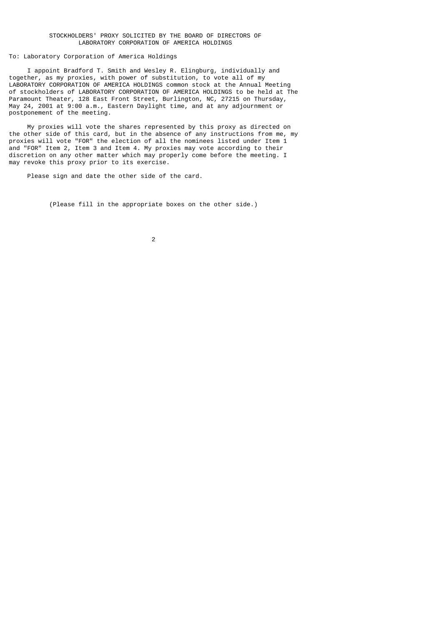### STOCKHOLDERS' PROXY SOLICITED BY THE BOARD OF DIRECTORS OF LABORATORY CORPORATION OF AMERICA HOLDINGS

# To: Laboratory Corporation of America Holdings

 I appoint Bradford T. Smith and Wesley R. Elingburg, individually and together, as my proxies, with power of substitution, to vote all of my LABORATORY CORPORATION OF AMERICA HOLDINGS common stock at the Annual Meeting of stockholders of LABORATORY CORPORATION OF AMERICA HOLDINGS to be held at The Paramount Theater, 128 East Front Street, Burlington, NC, 27215 on Thursday, May 24, 2001 at 9:00 a.m., Eastern Daylight time, and at any adjournment or postponement of the meeting.

 My proxies will vote the shares represented by this proxy as directed on the other side of this card, but in the absence of any instructions from me, my proxies will vote "FOR" the election of all the nominees listed under Item 1 and "FOR" Item 2, Item 3 and Item 4. My proxies may vote according to their discretion on any other matter which may properly come before the meeting. I may revoke this proxy prior to its exercise.

Please sign and date the other side of the card.

(Please fill in the appropriate boxes on the other side.)